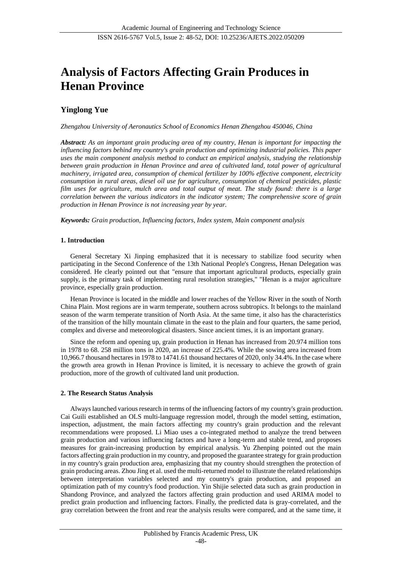# **Analysis of Factors Affecting Grain Produces in Henan Province**

# **Yinglong Yue**

*Zhengzhou University of Aeronautics School of Economics Henan Zhengzhou 450046, China*

*Abstract: As an important grain producing area of my country, Henan is important for impacting the influencing factors behind my country's grain production and optimizing industrial policies. This paper uses the main component analysis method to conduct an empirical analysis, studying the relationship between grain production in Henan Province and area of cultivated land, total power of agricultural machinery, irrigated area, consumption of chemical fertilizer by 100% effective component, electricity consumption in rural areas, diesel oil use for agriculture, consumption of chemical pesticides, plastic film uses for agriculture, mulch area and total output of meat. The study found: there is a large correlation between the various indicators in the indicator system; The comprehensive score of grain production in Henan Province is not increasing year by year.*

*Keywords: Grain production, Influencing factors, Index system, Main component analysis*

## **1. Introduction**

General Secretary Xi Jinping emphasized that it is necessary to stabilize food security when participating in the Second Conference of the 13th National People's Congress, Henan Delegation was considered. He clearly pointed out that "ensure that important agricultural products, especially grain supply, is the primary task of implementing rural resolution strategies," "Henan is a major agriculture province, especially grain production.

Henan Province is located in the middle and lower reaches of the Yellow River in the south of North China Plain. Most regions are in warm temperate, southern across subtropics. It belongs to the mainland season of the warm temperate transition of North Asia. At the same time, it also has the characteristics of the transition of the hilly mountain climate in the east to the plain and four quarters, the same period, complex and diverse and meteorological disasters. Since ancient times, it is an important granary.

Since the reform and opening up, grain production in Henan has increased from 20.974 million tons in 1978 to 68. 258 million tons in 2020, an increase of 225.4%. While the sowing area increased from 10,966.7 thousand hectares in 1978 to 14741.61 thousand hectares of 2020, only 34.4%. In the case where the growth area growth in Henan Province is limited, it is necessary to achieve the growth of grain production, more of the growth of cultivated land unit production.

#### **2. The Research Status Analysis**

Always launched various research in terms of the influencing factors of my country's grain production. Cai Guili established an OLS multi-language regression model, through the model setting, estimation, inspection, adjustment, the main factors affecting my country's grain production and the relevant recommendations were proposed. Li Miao uses a co-integrated method to analyze the trend between grain production and various influencing factors and have a long-term and stable trend, and proposes measures for grain-increasing production by empirical analysis. Yu Zhenping pointed out the main factors affecting grain production in my country, and proposed the guarantee strategy for grain production in my country's grain production area, emphasizing that my country should strengthen the protection of grain producing areas. Zhou Jing et al. used the multi-returned model to illustrate the related relationships between interpretation variables selected and my country's grain production, and proposed an optimization path of my country's food production. Yin Shijie selected data such as grain production in Shandong Province, and analyzed the factors affecting grain production and used ARIMA model to predict grain production and influencing factors. Finally, the predicted data is gray-correlated, and the gray correlation between the front and rear the analysis results were compared, and at the same time, it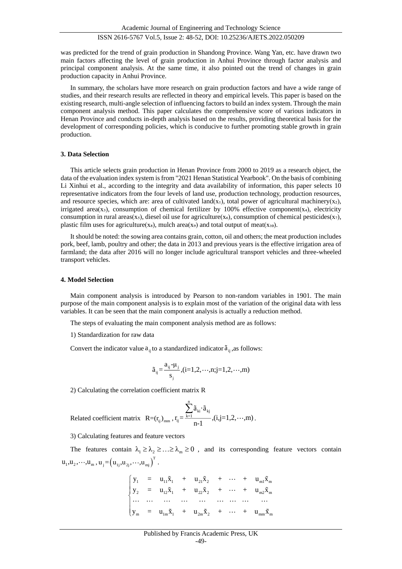Academic Journal of Engineering and Technology Science

#### ISSN 2616-5767 Vol.5, Issue 2: 48-52, DOI: 10.25236/AJETS.2022.050209

was predicted for the trend of grain production in Shandong Province. Wang Yan, etc. have drawn two main factors affecting the level of grain production in Anhui Province through factor analysis and principal component analysis. At the same time, it also pointed out the trend of changes in grain production capacity in Anhui Province.

In summary, the scholars have more research on grain production factors and have a wide range of studies, and their research results are reflected in theory and empirical levels. This paper is based on the existing research, multi-angle selection of influencing factors to build an index system. Through the main component analysis method. This paper calculates the comprehensive score of various indicators in Henan Province and conducts in-depth analysis based on the results, providing theoretical basis for the development of corresponding policies, which is conducive to further promoting stable growth in grain production.

#### **3. Data Selection**

This article selects grain production in Henan Province from 2000 to 2019 as a research object, the data of the evaluation index system is from "2021 Henan Statistical Yearbook". On the basis of combining Li Xinhui et al., according to the integrity and data availability of information, this paper selects 10 representative indicators from the four levels of land use, production technology, production resources, and resource species, which are: area of cultivated land(x<sub>1</sub>), total power of agricultural machinery(x<sub>2</sub>), irrigated area(x<sub>3</sub>), consumption of chemical fertilizer by  $100\%$  effective component(x<sub>4</sub>), electricity consumption in rural areas(xs), diesel oil use for agriculture(x<sub>6</sub>), consumption of chemical pesticides(x<sub>7</sub>), plastic film uses for agriculture(x $_{8}$ ), mulch area(x $_{9}$ ) and total output of meat(x $_{10}$ ).

It should be noted: the sowing area contains grain, cotton, oil and others; the meat production includes pork, beef, lamb, poultry and other; the data in 2013 and previous years is the effective irrigation area of farmland; the data after 2016 will no longer include agricultural transport vehicles and three-wheeled transport vehicles.

#### **4. Model Selection**

Main component analysis is introduced by Pearson to non-random variables in 1901. The main purpose of the main component analysis is to explain most of the variation of the original data with less variables. It can be seen that the main component analysis is actually a reduction method.

The steps of evaluating the main component analysis method are as follows:

1) Standardization for raw data

Convert the indicator value  $a_{ij}$  to a standardized indicator  $\tilde{a}_{ij}$ , as follows:

$$
\tilde{a}_{j} = \frac{a_{ij} - \mu_j}{s_j}, (i = 1, 2, \cdots, n; j = 1, 2, \cdots, m)
$$

2) Calculating the correlation coefficient matrix R

$$
\text{Related coefficient matrix }\mathbf{R} = (r_{ij})_{\text{mm}}, r_{ij} = \frac{\sum_{k=1}^{n} \tilde{a}_{ki} \cdot \tilde{a}_{kj}}{n-1}, (i, j = 1, 2, \cdots, m) \,.
$$

3) Calculating features and feature vectors

The features contain  $\lambda_1 \geq \lambda_2 \geq \ldots \geq \lambda_m \geq 0$ , and its corresponding feature vectors contain  $\mathbf{u}_1, \mathbf{u}_2, \cdots, \mathbf{u}_m, \mathbf{u}_j = (\mathbf{u}_{1j}, \mathbf{u}_{2j}, \cdots, \mathbf{u}_{mj})^T$  .

$$
\begin{cases}\n y_1 = u_{11}\tilde{x}_1 + u_{21}\tilde{x}_2 + \cdots + u_{m1}\tilde{x}_m \\
y_2 = u_{12}\tilde{x}_1 + u_{22}\tilde{x}_2 + \cdots + u_{m2}\tilde{x}_m \\
\cdots \cdots \cdots \cdots \cdots \cdots \cdots \cdots \cdots \cdots \cdots \\
y_m = u_{1m}\tilde{x}_1 + u_{2m}\tilde{x}_2 + \cdots + u_{mm}\tilde{x}_m\n \end{cases}
$$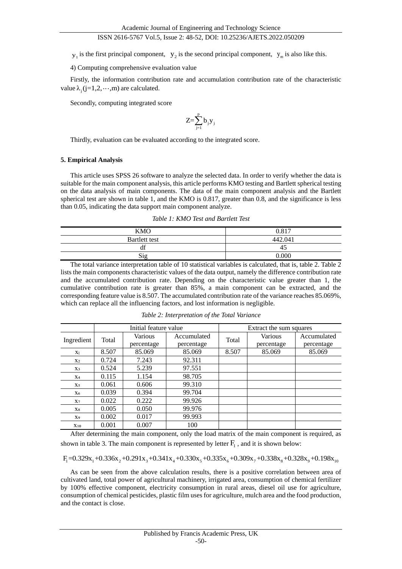#### ISSN 2616-5767 Vol.5, Issue 2: 48-52, DOI: 10.25236/AJETS.2022.050209

 $y_1$  is the first principal component,  $y_2$  is the second principal component,  $y_m$  is also like this.

4) Computing comprehensive evaluation value

Firstly, the information contribution rate and accumulation contribution rate of the characteristic value  $\lambda_j$  (j=1,2,  $\cdots$ , m) are calculated.

Secondly, computing integrated score

$$
Z\!\!=\!\!\sum_{j=1}^pb_jy_j
$$

Thirdly, evaluation can be evaluated according to the integrated score.

#### **5. Empirical Analysis**

This article uses SPSS 26 software to analyze the selected data. In order to verify whether the data is suitable for the main component analysis, this article performs KMO testing and Bartlett spherical testing on the data analysis of main components. The data of the main component analysis and the Bartlett spherical test are shown in table 1, and the KMO is 0.817, greater than 0.8, and the significance is less than 0.05, indicating the data support main component analyze.

*Table 1: KMO Test and Bartlett Test*

| <b>KMO</b>    | 0.817   |
|---------------|---------|
| Bartlett test | 442.041 |
| $\sim$<br>di  | 4.      |
| Sig           | noo     |

The total variance interpretation table of 10 statistical variables is calculated, that is, table 2. Table 2 lists the main components characteristic values of the data output, namely the difference contribution rate and the accumulated contribution rate. Depending on the characteristic value greater than 1, the cumulative contribution rate is greater than 85%, a main component can be extracted, and the corresponding feature value is 8.507. The accumulated contribution rate of the variance reaches 85.069%, which can replace all the influencing factors, and lost information is negligible.

|                | Initial feature value |            |             | Extract the sum squares |            |             |  |
|----------------|-----------------------|------------|-------------|-------------------------|------------|-------------|--|
| Ingredient     | Total                 | Various    | Accumulated | Total                   | Various    | Accumulated |  |
|                |                       | percentage | percentage  |                         | percentage | percentage  |  |
| X <sub>1</sub> | 8.507                 | 85.069     | 85.069      | 8.507                   | 85.069     | 85.069      |  |
| X <sub>2</sub> | 0.724                 | 7.243      | 92.311      |                         |            |             |  |
| X3             | 0.524                 | 5.239      | 97.551      |                         |            |             |  |
| X <sub>4</sub> | 0.115                 | 1.154      | 98.705      |                         |            |             |  |
| X <sub>5</sub> | 0.061                 | 0.606      | 99.310      |                         |            |             |  |
| X6             | 0.039                 | 0.394      | 99.704      |                         |            |             |  |
| X <sub>7</sub> | 0.022                 | 0.222      | 99.926      |                         |            |             |  |
| $X_{8}$        | 0.005                 | 0.050      | 99.976      |                         |            |             |  |
| X9             | 0.002                 | 0.017      | 99.993      |                         |            |             |  |
| $X_{10}$       | 0.001                 | 0.007      | 100         |                         |            |             |  |

*Table 2: Interpretation of the Total Variance*

After determining the main component, only the load matrix of the main component is required, as shown in table 3. The main component is represented by letter  $F_1$ , and it is shown below:

$$
F_1=0.329x_1+0.336x_2+0.291x_3+0.341x_4+0.330x_5+0.335x_6+0.309x_7+0.338x_8+0.328x_9+0.198x_{10}+0.198x_{11}+0.198x_{12}+0.198x_{13}+0.198x_{14}+0.198x_{15}+0.198x_{16}+0.198x_{17}+0.198x_{18}+0.198x_{19}+0.198x_{10}+0.198x_{11}+0.198x_{12}+0.198x_{13}+0.198x_{14}+0.198x_{15}+0.198x_{16}+0.198x_{17}+0.198x_{18}+0.198x_{19}+0.198x_{10}+0.198x_{11}+0.198x_{12}+0.198x_{16}+0.198x_{17}+0.198x_{18}+0.198x_{19}+0.198x_{10}+0.198x_{11}+0.198x_{12}+0.198x_{16}+0.198x_{17}+0.198x_{18}+0.198x_{19}+0.198x_{10}+0.198x_{11}+0.198x_{12}+0.198x_{16}+0.198x_{18}+0.198x_{19}+0.198x_{10}+0.198x_{11}+0.198x_{12}+0.198x_{16}+0.198x_{18}+0.198x_{19}+0.198x_{10}+0.198x_{11}+0.198x_{12}+0.198x_{10}+0.198x_{10}+0.198x_{11}+0.198x_{12}+0.198x_{16}+0.198x_{18}+0.198x_{19}+0.198x_{10}+0.198x_{10}+0.198x_{11}+0.198x_{12}+0.198x_{10}+0.1
$$

As can be seen from the above calculation results, there is a positive correlation between area of cultivated land, total power of agricultural machinery, irrigated area, consumption of chemical fertilizer by 100% effective component, electricity consumption in rural areas, diesel oil use for agriculture, consumption of chemical pesticides, plastic film uses for agriculture, mulch area and the food production, and the contact is close.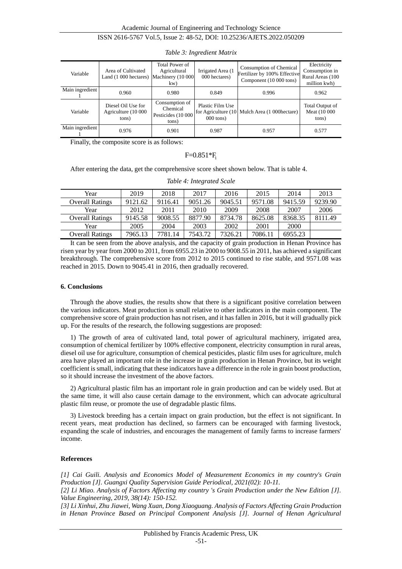#### ISSN 2616-5767 Vol.5, Issue 2: 48-52, DOI: 10.25236/AJETS.2022.050209

| Variable        | Area of Cultivated<br>Land (1 000 hectares) Machinery (10 000 | <b>Total Power of</b><br>Agricultural<br>kw)              | Irrigated Area (1<br>000 hectares)     | Consumption of Chemical<br>Fertilizer by 100% Effective<br>Component (10 000 tons) | Electricity<br>Consumption in<br>Rural Areas (100<br>million kwh) |
|-----------------|---------------------------------------------------------------|-----------------------------------------------------------|----------------------------------------|------------------------------------------------------------------------------------|-------------------------------------------------------------------|
| Main ingredient | 0.960                                                         | 0.980                                                     | 0.849                                  | 0.996                                                                              | 0.962                                                             |
| Variable        | Diesel Oil Use for<br>Agriculture (10 000<br>tons)            | Consumption of<br>Chemical<br>Pesticides (10 000<br>tons) | Plastic Film Use<br>$000 \text{ tons}$ | for Agriculture (10 Mulch Area (1 000 hectare)                                     | Total Output of<br>Meat (10 000<br>tons)                          |
| Main ingredient | 0.976                                                         | 0.901                                                     | 0.987                                  | 0.957                                                                              | 0.577                                                             |

*Table 3: Ingredient Matrix*

Finally, the composite score is as follows:

## $F=0.851*F_1$

After entering the data, get the comprehensive score sheet shown below. That is table 4.

| Year                   | 2019    | 2018    | 2017    | 2016    | 2015    | 2014    | 2013    |
|------------------------|---------|---------|---------|---------|---------|---------|---------|
| <b>Overall Ratings</b> | 9121.62 | 9116.41 | 9051.26 | 9045.51 | 9571.08 | 9415.59 | 9239.90 |
| Year                   | 2012    | 2011    | 2010    | 2009    | 2008    | 2007    | 2006    |
| <b>Overall Ratings</b> | 9145.58 | 9008.55 | 8877.90 | 8734.78 | 8625.08 | 8368.35 | 8111.49 |
| Year                   | 2005    | 2004    | 2003    | 2002    | 2001    | 2000    |         |
| <b>Overall Ratings</b> | 7965.13 | 7781.14 | 7543.72 | 7326.21 | 7086.11 | 6955.23 |         |

*Table 4: Integrated Scale*

It can be seen from the above analysis, and the capacity of grain production in Henan Province has risen year by year from 2000 to 2011, from 6955.23 in 2000 to 9008.55 in 2011, has achieved a significant breakthrough. The comprehensive score from 2012 to 2015 continued to rise stable, and 9571.08 was reached in 2015. Down to 9045.41 in 2016, then gradually recovered.

#### **6. Conclusions**

Through the above studies, the results show that there is a significant positive correlation between the various indicators. Meat production is small relative to other indicators in the main component. The comprehensive score of grain production has not risen, and it has fallen in 2016, but it will gradually pick up. For the results of the research, the following suggestions are proposed:

1) The growth of area of cultivated land, total power of agricultural machinery, irrigated area, consumption of chemical fertilizer by 100% effective component, electricity consumption in rural areas, diesel oil use for agriculture, consumption of chemical pesticides, plastic film uses for agriculture, mulch area have played an important role in the increase in grain production in Henan Province, but its weight coefficient is small, indicating that these indicators have a difference in the role in grain boost production, so it should increase the investment of the above factors.

2) Agricultural plastic film has an important role in grain production and can be widely used. But at the same time, it will also cause certain damage to the environment, which can advocate agricultural plastic film reuse, or promote the use of degradable plastic films.

3) Livestock breeding has a certain impact on grain production, but the effect is not significant. In recent years, meat production has declined, so farmers can be encouraged with farming livestock, expanding the scale of industries, and encourages the management of family farms to increase farmers' income.

#### **References**

*[1] Cai Guili. Analysis and Economics Model of Measurement Economics in my country's Grain Production [J]. Guangxi Quality Supervision Guide Periodical, 2021(02): 10-11.*

*[2] Li Miao. Analysis of Factors Affecting my country 's Grain Production under the New Edition [J]. Value Engineering, 2019, 38(14): 150-152.*

*[3] Li Xinhui, Zhu Jiawei, Wang Xuan, Dong Xiaoguang. Analysis of Factors Affecting Grain Production in Henan Province Based on Principal Component Analysis [J]. Journal of Henan Agricultural*